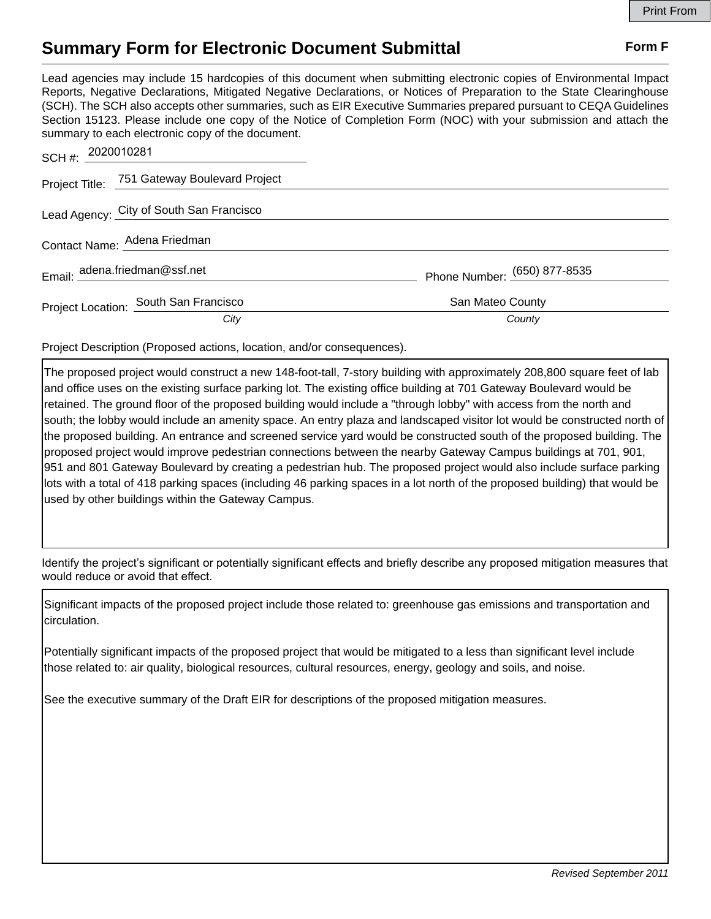## **Summary Form for Electronic Document Submittal Form F Form F**

Lead agencies may include 15 hardcopies of this document when submitting electronic copies of Environmental Impact Reports, Negative Declarations, Mitigated Negative Declarations, or Notices of Preparation to the State Clearinghouse (SCH). The SCH also accepts other summaries, such as EIR Executive Summaries prepared pursuant to CEQA Guidelines Section 15123. Please include one copy of the Notice of Completion Form (NOC) with your submission and attach the summary to each electronic copy of the document.

| SCH #: 2020010281             |                                              |                              |
|-------------------------------|----------------------------------------------|------------------------------|
|                               | Project Title: 751 Gateway Boulevard Project |                              |
|                               | Lead Agency: City of South San Francisco     |                              |
| Contact Name: Adena Friedman  |                                              |                              |
| Email: adena.friedman@ssf.net |                                              | Phone Number: (650) 877-8535 |
|                               | Project Location: South San Francisco        | San Mateo County             |
|                               | City                                         | County                       |

Project Description (Proposed actions, location, and/or consequences).

The proposed project would construct a new 148-foot-tall, 7-story building with approximately 208,800 square feet of lab and office uses on the existing surface parking lot. The existing office building at 701 Gateway Boulevard would be retained. The ground floor of the proposed building would include a "through lobby" with access from the north and south; the lobby would include an amenity space. An entry plaza and landscaped visitor lot would be constructed north of the proposed building. An entrance and screened service yard would be constructed south of the proposed building. The proposed project would improve pedestrian connections between the nearby Gateway Campus buildings at 701, 901, 951 and 801 Gateway Boulevard by creating a pedestrian hub. The proposed project would also include surface parking lots with a total of 418 parking spaces (including 46 parking spaces in a lot north of the proposed building) that would be used by other buildings within the Gateway Campus.

Identify the project's significant or potentially significant effects and briefly describe any proposed mitigation measures that would reduce or avoid that effect.

Significant impacts of the proposed project include those related to: greenhouse gas emissions and transportation and circulation.

Potentially significant impacts of the proposed project that would be mitigated to a less than significant level include those related to: air quality, biological resources, cultural resources, energy, geology and soils, and noise.

See the executive summary of the Draft EIR for descriptions of the proposed mitigation measures.